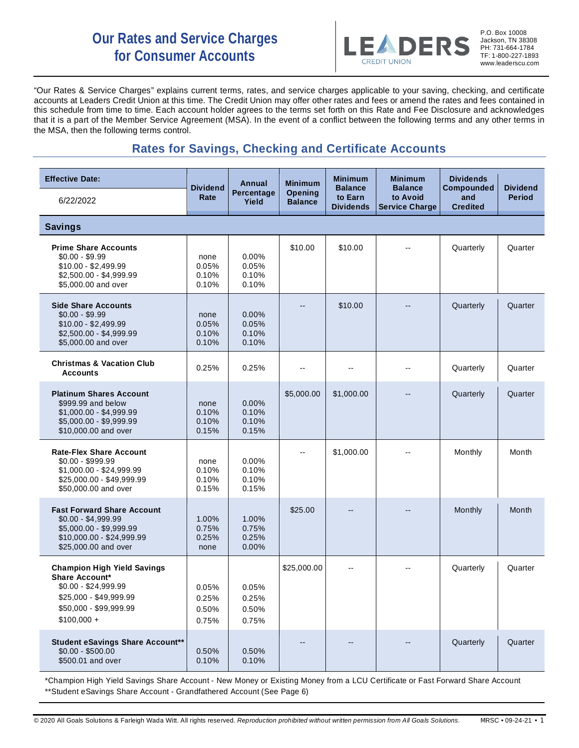# **Our Rates and Service Charges for Consumer Accounts**



P.O. Box 10008 Jackson, TN 38308 PH: 731-664-1784 TF: 1-800-227-1893 www.leaderscu.com

"Our Rates & Service Charges" explains current terms, rates, and service charges applicable to your saving, checking, and certificate accounts at Leaders Credit Union at this time. The Credit Union may offer other rates and fees or amend the rates and fees contained in this schedule from time to time. Each account holder agrees to the terms set forth on this Rate and Fee Disclosure and acknowledges that it is a part of the Member Service Agreement (MSA). In the event of a conflict between the following terms and any other terms in the MSA, then the following terms control.

## **Rates for Savings, Checking and Certificate Accounts**

| <b>Effective Date:</b>                                                                                                                           | <b>Dividend</b>                  | Annual                              | <b>Minimum</b>                   | <b>Minimum</b><br><b>Balance</b> | <b>Minimum</b><br><b>Balance</b>  | <b>Dividends</b><br>Compounded | <b>Dividend</b> |
|--------------------------------------------------------------------------------------------------------------------------------------------------|----------------------------------|-------------------------------------|----------------------------------|----------------------------------|-----------------------------------|--------------------------------|-----------------|
| 6/22/2022                                                                                                                                        | Rate                             | Percentage<br>Yield                 | <b>Opening</b><br><b>Balance</b> | to Earn<br><b>Dividends</b>      | to Avoid<br><b>Service Charge</b> | and<br><b>Credited</b>         | <b>Period</b>   |
| <b>Savings</b>                                                                                                                                   |                                  |                                     |                                  |                                  |                                   |                                |                 |
| <b>Prime Share Accounts</b><br>$$0.00 - $9.99$<br>$$10.00 - $2,499.99$<br>\$2,500.00 - \$4,999.99<br>\$5,000.00 and over                         | none<br>0.05%<br>0.10%<br>0.10%  | 0.00%<br>0.05%<br>0.10%<br>0.10%    | \$10.00                          | \$10.00                          |                                   | Quarterly                      | Quarter         |
| <b>Side Share Accounts</b><br>$$0.00 - $9.99$<br>$$10.00 - $2,499.99$<br>\$2,500.00 - \$4,999.99<br>\$5,000.00 and over                          | none<br>0.05%<br>0.10%<br>0.10%  | $0.00\%$<br>0.05%<br>0.10%<br>0.10% |                                  | \$10.00                          |                                   | Quarterly                      | Quarter         |
| <b>Christmas &amp; Vacation Club</b><br><b>Accounts</b>                                                                                          | 0.25%                            | 0.25%                               | --                               | --                               | $-$                               | Quarterly                      | Quarter         |
| <b>Platinum Shares Account</b><br>\$999.99 and below<br>$$1,000.00 - $4,999.99$<br>\$5,000.00 - \$9,999.99<br>\$10,000.00 and over               | none<br>0.10%<br>0.10%<br>0.15%  | 0.00%<br>0.10%<br>0.10%<br>0.15%    | \$5,000.00                       | \$1,000.00                       |                                   | Quarterly                      | Quarter         |
| <b>Rate-Flex Share Account</b><br>$$0.00 - $999.99$<br>$$1,000.00 - $24,999.99$<br>\$25,000.00 - \$49,999.99<br>\$50,000.00 and over             | none<br>0.10%<br>0.10%<br>0.15%  | 0.00%<br>0.10%<br>0.10%<br>0.15%    | $\overline{\phantom{a}}$         | \$1,000.00                       | --                                | Monthly                        | Month           |
| <b>Fast Forward Share Account</b><br>$$0.00 - $4,999.99$<br>\$5,000.00 - \$9,999.99<br>\$10,000.00 - \$24,999.99<br>\$25,000.00 and over         | 1.00%<br>0.75%<br>0.25%<br>none  | 1.00%<br>0.75%<br>0.25%<br>0.00%    | \$25.00                          |                                  |                                   | Monthly                        | Month           |
| <b>Champion High Yield Savings</b><br>Share Account*<br>$$0.00 - $24,999.99$<br>\$25,000 - \$49,999.99<br>\$50,000 - \$99,999.99<br>$$100,000 +$ | 0.05%<br>0.25%<br>0.50%<br>0.75% | 0.05%<br>0.25%<br>0.50%<br>0.75%    | \$25,000.00                      |                                  |                                   | Quarterly                      | Quarter         |
| <b>Student eSavings Share Account**</b><br>$$0.00 - $500.00$<br>\$500.01 and over                                                                | 0.50%<br>0.10%                   | 0.50%<br>0.10%                      |                                  |                                  | --                                | Quarterly                      | Quarter         |

\*Champion High Yield Savings Share Account - New Money or Existing Money from a LCU Certificate or Fast Forward Share Account \*\*Student eSavings Share Account - Grandfathered Account (See Page 6)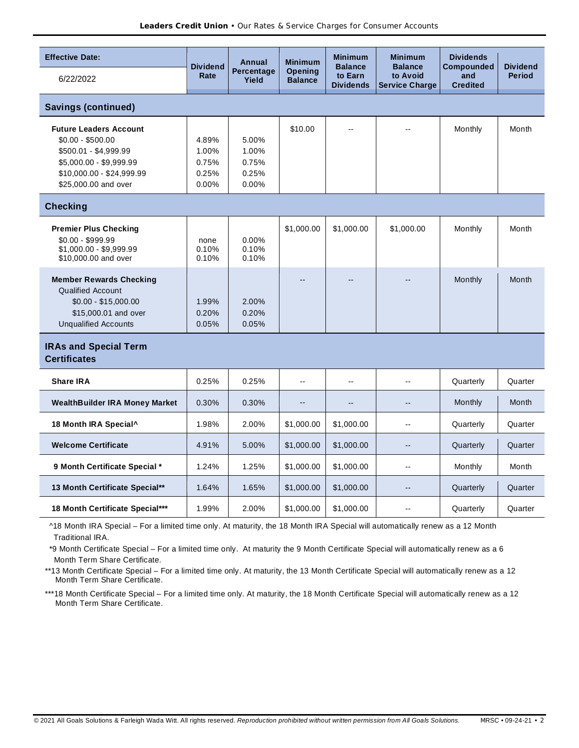| <b>Effective Date:</b>                               | <b>Dividend</b><br>Rate | Annual<br>Percentage<br>Yield | <b>Minimum</b>                   | <b>Minimum</b>                                | <b>Minimum</b>                                      | <b>Dividends</b>                     |                                  |
|------------------------------------------------------|-------------------------|-------------------------------|----------------------------------|-----------------------------------------------|-----------------------------------------------------|--------------------------------------|----------------------------------|
| 6/22/2022                                            |                         |                               | <b>Opening</b><br><b>Balance</b> | <b>Balance</b><br>to Earn<br><b>Dividends</b> | <b>Balance</b><br>to Avoid<br><b>Service Charge</b> | Compounded<br>and<br><b>Credited</b> | <b>Dividend</b><br><b>Period</b> |
| <b>Savings (continued)</b>                           |                         |                               |                                  |                                               |                                                     |                                      |                                  |
| <b>Future Leaders Account</b><br>$$0.00 - $500.00$   | 4.89%                   | 5.00%                         | \$10.00                          | $\overline{\phantom{a}}$                      |                                                     | Monthly                              | Month                            |
| \$500.01 - \$4,999.99                                | 1.00%                   | 1.00%                         |                                  |                                               |                                                     |                                      |                                  |
| \$5,000.00 - \$9,999.99<br>\$10,000.00 - \$24,999.99 | 0.75%<br>0.25%          | 0.75%<br>0.25%                |                                  |                                               |                                                     |                                      |                                  |
| \$25,000.00 and over                                 | 0.00%                   | 0.00%                         |                                  |                                               |                                                     |                                      |                                  |
| <b>Checking</b>                                      |                         |                               |                                  |                                               |                                                     |                                      |                                  |
| <b>Premier Plus Checking</b>                         |                         |                               | \$1,000.00                       | \$1,000.00                                    | \$1,000.00                                          | Monthly                              | Month                            |
| $$0.00 - $999.99$<br>\$1,000.00 - \$9,999.99         | none<br>0.10%           | 0.00%<br>0.10%                |                                  |                                               |                                                     |                                      |                                  |
| \$10,000.00 and over                                 | 0.10%                   | 0.10%                         |                                  |                                               |                                                     |                                      |                                  |
| <b>Member Rewards Checking</b>                       |                         |                               |                                  |                                               |                                                     | Monthly                              | Month                            |
| <b>Qualified Account</b><br>$$0.00 - $15,000.00$     | 1.99%                   | 2.00%                         |                                  |                                               |                                                     |                                      |                                  |
| \$15,000.01 and over                                 | 0.20%                   | 0.20%                         |                                  |                                               |                                                     |                                      |                                  |
| <b>Unqualified Accounts</b>                          | 0.05%                   | 0.05%                         |                                  |                                               |                                                     |                                      |                                  |
| <b>IRAs and Special Term</b><br><b>Certificates</b>  |                         |                               |                                  |                                               |                                                     |                                      |                                  |
| <b>Share IRA</b>                                     | 0.25%                   | 0.25%                         | $\overline{a}$                   |                                               | $\overline{a}$                                      | Quarterly                            | Quarter                          |
| <b>WealthBuilder IRA Money Market</b>                | 0.30%                   | 0.30%                         | $-$                              | $-$                                           | $\overline{\phantom{a}}$                            | Monthly                              | Month                            |
| 18 Month IRA Special^                                | 1.98%                   | 2.00%                         | \$1,000.00                       | \$1,000.00                                    | $\overline{\phantom{a}}$                            | Quarterly                            | Quarter                          |
| <b>Welcome Certificate</b>                           | 4.91%                   | 5.00%                         | \$1,000.00                       | \$1,000.00                                    | $\overline{a}$                                      | Quarterly                            | Quarter                          |
| 9 Month Certificate Special *                        | 1.24%                   | 1.25%                         | \$1,000.00                       | \$1,000.00                                    | $\overline{\phantom{a}}$                            | Monthly                              | Month                            |
| 13 Month Certificate Special**                       | 1.64%                   | 1.65%                         | \$1,000.00                       | \$1,000.00                                    | $\overline{\phantom{a}}$                            | Quarterly                            | Quarter                          |
| 18 Month Certificate Special***                      | 1.99%                   | 2.00%                         | \$1,000.00                       | \$1,000.00                                    | --                                                  | Quarterly                            | Quarter                          |

 ^18 Month IRA Special – For a limited time only. At maturity, the 18 Month IRA Special will automatically renew as a 12 Month Traditional IRA.

 \*9 Month Certificate Special – For a limited time only. At maturity the 9 Month Certificate Special will automatically renew as a 6 Month Term Share Certificate.

\*\*13 Month Certificate Special – For a limited time only. At maturity, the 13 Month Certificate Special will automatically renew as a 12 Month Term Share Certificate.

\*\*\*18 Month Certificate Special – For a limited time only. At maturity, the 18 Month Certificate Special will automatically renew as a 12 Month Term Share Certificate.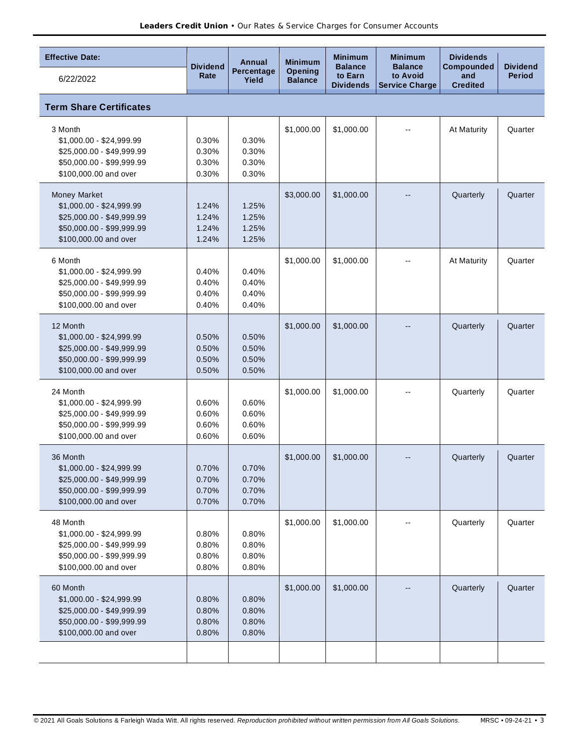| <b>Effective Date:</b>                                                                                                      |                                  | Annual                           | <b>Minimum</b>                   | <b>Minimum</b>                                | <b>Minimum</b>                                      | <b>Dividends</b>                     |                                  |
|-----------------------------------------------------------------------------------------------------------------------------|----------------------------------|----------------------------------|----------------------------------|-----------------------------------------------|-----------------------------------------------------|--------------------------------------|----------------------------------|
| 6/22/2022                                                                                                                   | <b>Dividend</b><br>Rate          | Percentage<br>Yield              | <b>Opening</b><br><b>Balance</b> | <b>Balance</b><br>to Earn<br><b>Dividends</b> | <b>Balance</b><br>to Avoid<br><b>Service Charge</b> | Compounded<br>and<br><b>Credited</b> | <b>Dividend</b><br><b>Period</b> |
| <b>Term Share Certificates</b>                                                                                              |                                  |                                  |                                  |                                               |                                                     |                                      |                                  |
| 3 Month<br>$$1,000.00 - $24,999.99$<br>\$25,000.00 - \$49,999.99<br>\$50,000.00 - \$99,999.99<br>\$100,000.00 and over      | 0.30%<br>0.30%<br>0.30%<br>0.30% | 0.30%<br>0.30%<br>0.30%<br>0.30% | \$1,000.00                       | \$1,000.00                                    |                                                     | At Maturity                          | Quarter                          |
| Money Market<br>\$1,000.00 - \$24,999.99<br>\$25,000.00 - \$49,999.99<br>\$50,000.00 - \$99,999.99<br>\$100,000.00 and over | 1.24%<br>1.24%<br>1.24%<br>1.24% | 1.25%<br>1.25%<br>1.25%<br>1.25% | \$3,000.00                       | \$1,000.00                                    |                                                     | Quarterly                            | Quarter                          |
| 6 Month<br>\$1,000.00 - \$24,999.99<br>\$25,000.00 - \$49,999.99<br>\$50,000.00 - \$99,999.99<br>\$100,000.00 and over      | 0.40%<br>0.40%<br>0.40%<br>0.40% | 0.40%<br>0.40%<br>0.40%<br>0.40% | \$1,000.00                       | \$1,000.00                                    |                                                     | At Maturity                          | Quarter                          |
| 12 Month<br>\$1,000.00 - \$24,999.99<br>\$25,000.00 - \$49,999.99<br>\$50,000.00 - \$99,999.99<br>\$100,000.00 and over     | 0.50%<br>0.50%<br>0.50%<br>0.50% | 0.50%<br>0.50%<br>0.50%<br>0.50% | \$1,000.00                       | \$1,000.00                                    |                                                     | Quarterly                            | Quarter                          |
| 24 Month<br>$$1,000.00 - $24,999.99$<br>\$25,000.00 - \$49,999.99<br>\$50,000.00 - \$99,999.99<br>\$100,000.00 and over     | 0.60%<br>0.60%<br>0.60%<br>0.60% | 0.60%<br>0.60%<br>0.60%<br>0.60% | \$1,000.00                       | \$1,000.00                                    |                                                     | Quarterly                            | Quarter                          |
| 36 Month<br>\$1,000.00 - \$24,999.99<br>\$25,000.00 - \$49,999.99<br>\$50,000.00 - \$99,999.99<br>\$100,000.00 and over     | 0.70%<br>0.70%<br>0.70%<br>0.70% | 0.70%<br>0.70%<br>0.70%<br>0.70% | \$1,000.00                       | \$1,000.00                                    | --                                                  | Quarterly                            | Quarter                          |
| 48 Month<br>$$1,000.00 - $24,999.99$<br>\$25,000.00 - \$49,999.99<br>\$50,000.00 - \$99,999.99<br>\$100,000.00 and over     | 0.80%<br>0.80%<br>0.80%<br>0.80% | 0.80%<br>0.80%<br>0.80%<br>0.80% | \$1,000.00                       | \$1,000.00                                    |                                                     | Quarterly                            | Quarter                          |
| 60 Month<br>\$1,000.00 - \$24,999.99<br>\$25,000.00 - \$49,999.99<br>\$50,000.00 - \$99,999.99<br>\$100,000.00 and over     | 0.80%<br>0.80%<br>0.80%<br>0.80% | 0.80%<br>0.80%<br>0.80%<br>0.80% | \$1,000.00                       | \$1,000.00                                    |                                                     | Quarterly                            | Quarter                          |
|                                                                                                                             |                                  |                                  |                                  |                                               |                                                     |                                      |                                  |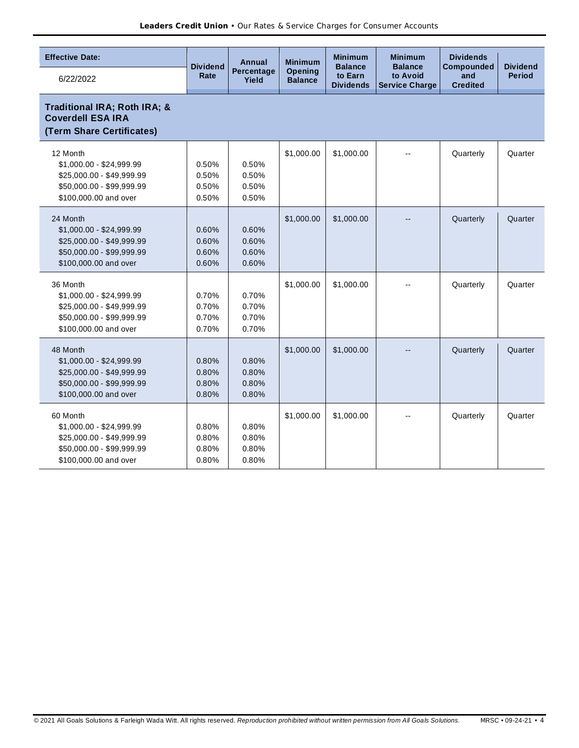| <b>Effective Date:</b>                                                                                                  |                                  | Annual                           | <b>Minimum</b>                   | <b>Minimum</b>                                | <b>Minimum</b>                                      | <b>Dividends</b>                     |                                  |
|-------------------------------------------------------------------------------------------------------------------------|----------------------------------|----------------------------------|----------------------------------|-----------------------------------------------|-----------------------------------------------------|--------------------------------------|----------------------------------|
| 6/22/2022                                                                                                               | <b>Dividend</b><br>Rate          | Percentage<br>Yield              | <b>Opening</b><br><b>Balance</b> | <b>Balance</b><br>to Earn<br><b>Dividends</b> | <b>Balance</b><br>to Avoid<br><b>Service Charge</b> | Compounded<br>and<br><b>Credited</b> | <b>Dividend</b><br><b>Period</b> |
| Traditional IRA; Roth IRA; &<br><b>Coverdell ESA IRA</b><br>(Term Share Certificates)                                   |                                  |                                  |                                  |                                               |                                                     |                                      |                                  |
| 12 Month<br>\$1,000.00 - \$24,999.99<br>\$25,000.00 - \$49,999.99<br>\$50,000.00 - \$99,999.99<br>\$100,000.00 and over | 0.50%<br>0.50%<br>0.50%<br>0.50% | 0.50%<br>0.50%<br>0.50%<br>0.50% | \$1,000.00                       | \$1,000.00                                    |                                                     | Quarterly                            | Quarter                          |
| 24 Month<br>\$1,000.00 - \$24,999.99<br>\$25,000.00 - \$49,999.99<br>\$50,000.00 - \$99,999.99<br>\$100,000.00 and over | 0.60%<br>0.60%<br>0.60%<br>0.60% | 0.60%<br>0.60%<br>0.60%<br>0.60% | \$1,000.00                       | \$1,000.00                                    |                                                     | Quarterly                            | Quarter                          |
| 36 Month<br>\$1,000.00 - \$24,999.99<br>\$25,000.00 - \$49,999.99<br>\$50,000.00 - \$99,999.99<br>\$100,000.00 and over | 0.70%<br>0.70%<br>0.70%<br>0.70% | 0.70%<br>0.70%<br>0.70%<br>0.70% | \$1,000.00                       | \$1,000.00                                    | $\overline{\phantom{a}}$                            | Quarterly                            | Quarter                          |
| 48 Month<br>\$1,000.00 - \$24,999.99<br>\$25,000.00 - \$49,999.99<br>\$50,000.00 - \$99,999.99<br>\$100,000.00 and over | 0.80%<br>0.80%<br>0.80%<br>0.80% | 0.80%<br>0.80%<br>0.80%<br>0.80% | \$1,000.00                       | \$1,000.00                                    |                                                     | Quarterly                            | Quarter                          |
| 60 Month<br>\$1,000.00 - \$24,999.99<br>\$25,000.00 - \$49,999.99<br>\$50,000.00 - \$99,999.99<br>\$100,000.00 and over | 0.80%<br>0.80%<br>0.80%<br>0.80% | 0.80%<br>0.80%<br>0.80%<br>0.80% | \$1,000.00                       | \$1,000.00                                    |                                                     | Quarterly                            | Quarter                          |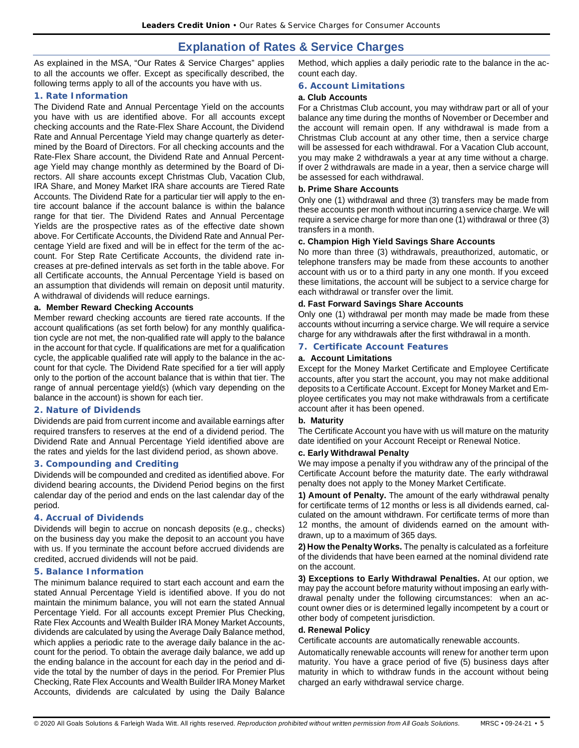## **Explanation of Rates & Service Charges**

As explained in the MSA, "Our Rates & Service Charges" applies to all the accounts we offer. Except as specifically described, the following terms apply to all of the accounts you have with us.

## **1. Rate Information**

The Dividend Rate and Annual Percentage Yield on the accounts you have with us are identified above. For all accounts except checking accounts and the Rate-Flex Share Account, the Dividend Rate and Annual Percentage Yield may change quarterly as determined by the Board of Directors. For all checking accounts and the Rate-Flex Share account, the Dividend Rate and Annual Percentage Yield may change monthly as determined by the Board of Directors. All share accounts except Christmas Club, Vacation Club, IRA Share, and Money Market IRA share accounts are Tiered Rate Accounts. The Dividend Rate for a particular tier will apply to the entire account balance if the account balance is within the balance range for that tier. The Dividend Rates and Annual Percentage Yields are the prospective rates as of the effective date shown above. For Certificate Accounts, the Dividend Rate and Annual Percentage Yield are fixed and will be in effect for the term of the account. For Step Rate Certificate Accounts, the dividend rate increases at pre-defined intervals as set forth in the table above. For all Certificate accounts, the Annual Percentage Yield is based on an assumption that dividends will remain on deposit until maturity. A withdrawal of dividends will reduce earnings.

## **a. Member Reward Checking Accounts**

Member reward checking accounts are tiered rate accounts. If the account qualifications (as set forth below) for any monthly qualification cycle are not met, the non-qualified rate will apply to the balance in the account for that cycle. If qualifications are met for a qualification cycle, the applicable qualified rate will apply to the balance in the account for that cycle. The Dividend Rate specified for a tier will apply only to the portion of the account balance that is within that tier. The range of annual percentage yield(s) (which vary depending on the balance in the account) is shown for each tier.

## **2. Nature of Dividends**

Dividends are paid from current income and available earnings after required transfers to reserves at the end of a dividend period. The Dividend Rate and Annual Percentage Yield identified above are the rates and yields for the last dividend period, as shown above.

## **3. Compounding and Crediting**

Dividends will be compounded and credited as identified above. For dividend bearing accounts, the Dividend Period begins on the first calendar day of the period and ends on the last calendar day of the period.

## **4. Accrual of Dividends**

Dividends will begin to accrue on noncash deposits (e.g., checks) on the business day you make the deposit to an account you have with us. If you terminate the account before accrued dividends are credited, accrued dividends will not be paid.

## **5. Balance Information**

The minimum balance required to start each account and earn the stated Annual Percentage Yield is identified above. If you do not maintain the minimum balance, you will not earn the stated Annual Percentage Yield. For all accounts except Premier Plus Checking, Rate Flex Accounts and Wealth Builder IRA Money Market Accounts, dividends are calculated by using the Average Daily Balance method, which applies a periodic rate to the average daily balance in the account for the period. To obtain the average daily balance, we add up the ending balance in the account for each day in the period and divide the total by the number of days in the period. For Premier Plus Checking, Rate Flex Accounts and Wealth Builder IRA Money Market Accounts, dividends are calculated by using the Daily Balance

Method, which applies a daily periodic rate to the balance in the account each day.

## **6. Account Limitations**

## **a. Club Accounts**

For a Christmas Club account, you may withdraw part or all of your balance any time during the months of November or December and the account will remain open. If any withdrawal is made from a Christmas Club account at any other time, then a service charge will be assessed for each withdrawal. For a Vacation Club account, you may make 2 withdrawals a year at any time without a charge. If over 2 withdrawals are made in a year, then a service charge will be assessed for each withdrawal.

## **b. Prime Share Accounts**

Only one (1) withdrawal and three (3) transfers may be made from these accounts per month without incurring a service charge. We will require a service charge for more than one (1) withdrawal or three (3) transfers in a month.

## **c. Champion High Yield Savings Share Accounts**

No more than three (3) withdrawals, preauthorized, automatic, or telephone transfers may be made from these accounts to another account with us or to a third party in any one month. If you exceed these limitations, the account will be subject to a service charge for each withdrawal or transfer over the limit.

## **d. Fast Forward Savings Share Accounts**

Only one (1) withdrawal per month may made be made from these accounts without incurring a service charge. We will require a service charge for any withdrawals after the first withdrawal in a month.

## **7. Certificate Account Features**

## **a. Account Limitations**

Except for the Money Market Certificate and Employee Certificate accounts, after you start the account, you may not make additional deposits to a Certificate Account. Except for Money Market and Employee certificates you may not make withdrawals from a certificate account after it has been opened.

## **b. Maturity**

The Certificate Account you have with us will mature on the maturity date identified on your Account Receipt or Renewal Notice.

## **c. Early Withdrawal Penalty**

We may impose a penalty if you withdraw any of the principal of the Certificate Account before the maturity date. The early withdrawal penalty does not apply to the Money Market Certificate.

**1) Amount of Penalty.** The amount of the early withdrawal penalty for certificate terms of 12 months or less is all dividends earned, calculated on the amount withdrawn. For certificate terms of more than 12 months, the amount of dividends earned on the amount withdrawn, up to a maximum of 365 days.

**2) How the Penalty Works.** The penalty is calculated as a forfeiture of the dividends that have been earned at the nominal dividend rate on the account.

**3) Exceptions to Early Withdrawal Penalties.** At our option, we may pay the account before maturity without imposing an early withdrawal penalty under the following circumstances: when an account owner dies or is determined legally incompetent by a court or other body of competent jurisdiction.

## **d. Renewal Policy**

Certificate accounts are automatically renewable accounts.

Automatically renewable accounts will renew for another term upon maturity. You have a grace period of five (5) business days after maturity in which to withdraw funds in the account without being charged an early withdrawal service charge.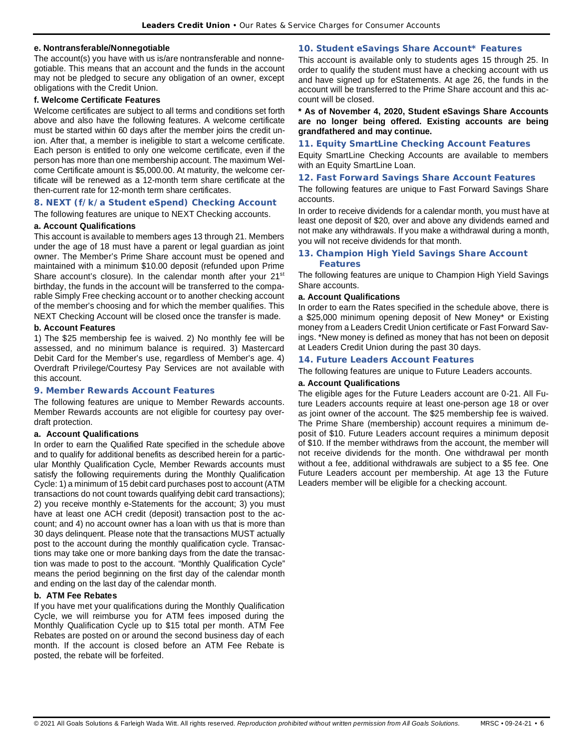#### **e. Nontransferable/Nonnegotiable**

The account(s) you have with us is/are nontransferable and nonnegotiable. This means that an account and the funds in the account may not be pledged to secure any obligation of an owner, except obligations with the Credit Union.

#### **f. Welcome Certificate Features**

Welcome certificates are subject to all terms and conditions set forth above and also have the following features. A welcome certificate must be started within 60 days after the member joins the credit union. After that, a member is ineligible to start a welcome certificate. Each person is entitled to only one welcome certificate, even if the person has more than one membership account. The maximum Welcome Certificate amount is \$5,000.00. At maturity, the welcome certificate will be renewed as a 12-month term share certificate at the then-current rate for 12-month term share certificates.

## **8. NEXT (f/k/a Student eSpend) Checking Account**

The following features are unique to NEXT Checking accounts.

#### **a. Account Qualifications**

This account is available to members ages 13 through 21. Members under the age of 18 must have a parent or legal guardian as joint owner. The Member's Prime Share account must be opened and maintained with a minimum \$10.00 deposit (refunded upon Prime Share account's closure). In the calendar month after your 21<sup>st</sup> birthday, the funds in the account will be transferred to the comparable Simply Free checking account or to another checking account of the member's choosing and for which the member qualifies. This NEXT Checking Account will be closed once the transfer is made.

## **b. Account Features**

1) The \$25 membership fee is waived. 2) No monthly fee will be assessed, and no minimum balance is required. 3) Mastercard Debit Card for the Member's use, regardless of Member's age. 4) Overdraft Privilege/Courtesy Pay Services are not available with this account.

#### **9. Member Rewards Account Features**

The following features are unique to Member Rewards accounts. Member Rewards accounts are not eligible for courtesy pay overdraft protection.

#### **a. Account Qualifications**

In order to earn the Qualified Rate specified in the schedule above and to qualify for additional benefits as described herein for a particular Monthly Qualification Cycle, Member Rewards accounts must satisfy the following requirements during the Monthly Qualification Cycle: 1) a minimum of 15 debit card purchases post to account (ATM transactions do not count towards qualifying debit card transactions); 2) you receive monthly e-Statements for the account; 3) you must have at least one ACH credit (deposit) transaction post to the account; and 4) no account owner has a loan with us that is more than 30 days delinquent. Please note that the transactions MUST actually post to the account during the monthly qualification cycle. Transactions may take one or more banking days from the date the transaction was made to post to the account. "Monthly Qualification Cycle" means the period beginning on the first day of the calendar month and ending on the last day of the calendar month.

#### **b. ATM Fee Rebates**

If you have met your qualifications during the Monthly Qualification Cycle, we will reimburse you for ATM fees imposed during the Monthly Qualification Cycle up to \$15 total per month. ATM Fee Rebates are posted on or around the second business day of each month. If the account is closed before an ATM Fee Rebate is posted, the rebate will be forfeited.

## **10. Student eSavings Share Account\* Features**

This account is available only to students ages 15 through 25. In order to qualify the student must have a checking account with us and have signed up for eStatements. At age 26, the funds in the account will be transferred to the Prime Share account and this account will be closed.

#### **\* As of November 4, 2020, Student eSavings Share Accounts are no longer being offered. Existing accounts are being grandfathered and may continue.**

#### **11. Equity SmartLine Checking Account Features**

Equity SmartLine Checking Accounts are available to members with an Equity SmartLine Loan.

#### **12. Fast Forward Savings Share Account Features**

The following features are unique to Fast Forward Savings Share accounts.

In order to receive dividends for a calendar month, you must have at least one deposit of \$20, over and above any dividends earned and not make any withdrawals. If you make a withdrawal during a month, you will not receive dividends for that month.

#### **13. Champion High Yield Savings Share Account Features**

The following features are unique to Champion High Yield Savings Share accounts.

#### **a. Account Qualifications**

In order to earn the Rates specified in the schedule above, there is a \$25,000 minimum opening deposit of New Money\* or Existing money from a Leaders Credit Union certificate or Fast Forward Savings. \*New money is defined as money that has not been on deposit at Leaders Credit Union during the past 30 days.

#### **14. Future Leaders Account Features**

The following features are unique to Future Leaders accounts.

#### **a. Account Qualifications**

The eligible ages for the Future Leaders account are 0-21. All Future Leaders accounts require at least one-person age 18 or over as joint owner of the account. The \$25 membership fee is waived. The Prime Share (membership) account requires a minimum deposit of \$10. Future Leaders account requires a minimum deposit of \$10. If the member withdraws from the account, the member will not receive dividends for the month. One withdrawal per month without a fee, additional withdrawals are subject to a \$5 fee. One Future Leaders account per membership. At age 13 the Future Leaders member will be eligible for a checking account.